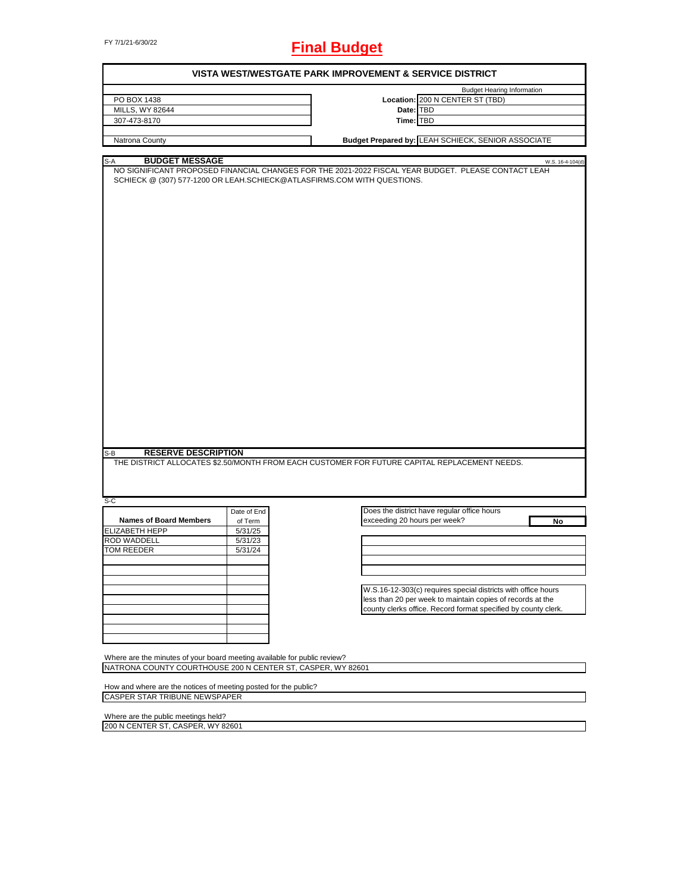# FY 7/1/21-6/30/22 **Final Budget**

|                                                                                              |             | <b>VISTA WEST/WESTGATE PARK IMPROVEMENT &amp; SERVICE DISTRICT</b> |                                                                                                                         |
|----------------------------------------------------------------------------------------------|-------------|--------------------------------------------------------------------|-------------------------------------------------------------------------------------------------------------------------|
|                                                                                              |             |                                                                    | <b>Budget Hearing Information</b>                                                                                       |
| PO BOX 1438                                                                                  |             |                                                                    | Location: 200 N CENTER ST (TBD)                                                                                         |
| MILLS, WY 82644                                                                              |             | Date: TBD                                                          |                                                                                                                         |
| 307-473-8170                                                                                 |             | Time: TBD                                                          |                                                                                                                         |
|                                                                                              |             |                                                                    |                                                                                                                         |
| Natrona County                                                                               |             |                                                                    | Budget Prepared by: LEAH SCHIECK, SENIOR ASSOCIATE                                                                      |
|                                                                                              |             |                                                                    |                                                                                                                         |
| <b>BUDGET MESSAGE</b><br>S-A                                                                 |             |                                                                    | W.S. 16-4-104(d)<br>NO SIGNIFICANT PROPOSED FINANCIAL CHANGES FOR THE 2021-2022 FISCAL YEAR BUDGET. PLEASE CONTACT LEAH |
| SCHIECK @ (307) 577-1200 OR LEAH.SCHIECK@ATLASFIRMS.COM WITH QUESTIONS.                      |             |                                                                    |                                                                                                                         |
|                                                                                              |             |                                                                    |                                                                                                                         |
|                                                                                              |             |                                                                    |                                                                                                                         |
|                                                                                              |             |                                                                    |                                                                                                                         |
|                                                                                              |             |                                                                    |                                                                                                                         |
|                                                                                              |             |                                                                    |                                                                                                                         |
|                                                                                              |             |                                                                    |                                                                                                                         |
|                                                                                              |             |                                                                    |                                                                                                                         |
|                                                                                              |             |                                                                    |                                                                                                                         |
|                                                                                              |             |                                                                    |                                                                                                                         |
|                                                                                              |             |                                                                    |                                                                                                                         |
|                                                                                              |             |                                                                    |                                                                                                                         |
|                                                                                              |             |                                                                    |                                                                                                                         |
|                                                                                              |             |                                                                    |                                                                                                                         |
|                                                                                              |             |                                                                    |                                                                                                                         |
|                                                                                              |             |                                                                    |                                                                                                                         |
|                                                                                              |             |                                                                    |                                                                                                                         |
|                                                                                              |             |                                                                    |                                                                                                                         |
|                                                                                              |             |                                                                    |                                                                                                                         |
|                                                                                              |             |                                                                    |                                                                                                                         |
|                                                                                              |             |                                                                    |                                                                                                                         |
|                                                                                              |             |                                                                    |                                                                                                                         |
|                                                                                              |             |                                                                    |                                                                                                                         |
|                                                                                              |             |                                                                    |                                                                                                                         |
|                                                                                              |             |                                                                    |                                                                                                                         |
|                                                                                              |             |                                                                    |                                                                                                                         |
|                                                                                              |             |                                                                    |                                                                                                                         |
|                                                                                              |             |                                                                    |                                                                                                                         |
|                                                                                              |             |                                                                    |                                                                                                                         |
|                                                                                              |             |                                                                    |                                                                                                                         |
|                                                                                              |             |                                                                    |                                                                                                                         |
|                                                                                              |             |                                                                    |                                                                                                                         |
| <b>RESERVE DESCRIPTION</b><br>$S-B$                                                          |             |                                                                    |                                                                                                                         |
| THE DISTRICT ALLOCATES \$2.50/MONTH FROM EACH CUSTOMER FOR FUTURE CAPITAL REPLACEMENT NEEDS. |             |                                                                    |                                                                                                                         |
|                                                                                              |             |                                                                    |                                                                                                                         |
|                                                                                              |             |                                                                    |                                                                                                                         |
|                                                                                              |             |                                                                    |                                                                                                                         |
| $S-C$                                                                                        |             |                                                                    |                                                                                                                         |
|                                                                                              |             |                                                                    |                                                                                                                         |
|                                                                                              | Date of End |                                                                    | Does the district have regular office hours                                                                             |
| <b>Names of Board Members</b>                                                                | of Term     | exceeding 20 hours per week?                                       | No                                                                                                                      |
| <b>ELIZABETH HEPP</b>                                                                        | 5/31/25     |                                                                    |                                                                                                                         |
| <b>ROD WADDELL</b>                                                                           | 5/31/23     |                                                                    |                                                                                                                         |
| <b>TOM REEDER</b>                                                                            | 5/31/24     |                                                                    |                                                                                                                         |
|                                                                                              |             |                                                                    |                                                                                                                         |
|                                                                                              |             |                                                                    |                                                                                                                         |
|                                                                                              |             |                                                                    |                                                                                                                         |
|                                                                                              |             |                                                                    |                                                                                                                         |
|                                                                                              |             |                                                                    | W.S.16-12-303(c) requires special districts with office hours                                                           |
|                                                                                              |             |                                                                    | less than 20 per week to maintain copies of records at the                                                              |
|                                                                                              |             |                                                                    | county clerks office. Record format specified by county clerk.                                                          |
|                                                                                              |             |                                                                    |                                                                                                                         |
|                                                                                              |             |                                                                    |                                                                                                                         |
|                                                                                              |             |                                                                    |                                                                                                                         |
|                                                                                              |             |                                                                    |                                                                                                                         |
|                                                                                              |             |                                                                    |                                                                                                                         |
| Where are the minutes of your board meeting available for public review?                     |             |                                                                    |                                                                                                                         |
| NATRONA COUNTY COURTHOUSE 200 N CENTER ST, CASPER, WY 82601                                  |             |                                                                    |                                                                                                                         |
|                                                                                              |             |                                                                    |                                                                                                                         |
| How and where are the notices of meeting posted for the public?                              |             |                                                                    |                                                                                                                         |
| CASPER STAR TRIBUNE NEWSPAPER                                                                |             |                                                                    |                                                                                                                         |
|                                                                                              |             |                                                                    |                                                                                                                         |
|                                                                                              |             |                                                                    |                                                                                                                         |
| Where are the public meetings held?                                                          |             |                                                                    |                                                                                                                         |
| 200 N CENTER ST, CASPER, WY 82601                                                            |             |                                                                    |                                                                                                                         |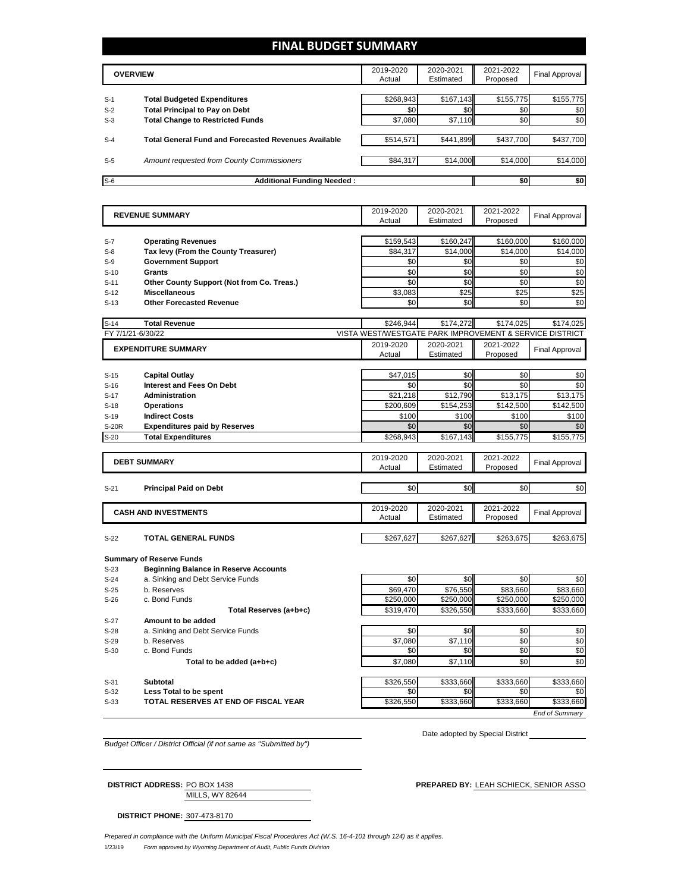## **FINAL BUDGET SUMMARY**

|       | <b>OVERVIEW</b>                                             | 2019-2020<br>Actual | 2020-2021<br>Estimated | 2021-2022<br>Proposed | Final Approval |
|-------|-------------------------------------------------------------|---------------------|------------------------|-----------------------|----------------|
|       |                                                             |                     |                        |                       |                |
| $S-1$ | <b>Total Budgeted Expenditures</b>                          | \$268,943           | \$167,143              | \$155,775             | \$155,775      |
| $S-2$ | <b>Total Principal to Pay on Debt</b>                       | \$0                 | \$0                    | \$0                   | \$0            |
| $S-3$ | <b>Total Change to Restricted Funds</b>                     | \$7,080             | \$7,110                | \$0                   | \$0            |
|       |                                                             |                     |                        |                       |                |
| $S-4$ | <b>Total General Fund and Forecasted Revenues Available</b> | \$514,571           | \$441,899              | \$437,700             | \$437,700      |
|       |                                                             |                     |                        |                       |                |
| $S-5$ | Amount requested from County Commissioners                  | \$84,317            | \$14,000               | \$14,000              | \$14,000       |
|       |                                                             |                     |                        |                       |                |
| $S-6$ | <b>Additional Funding Needed:</b>                           |                     |                        | \$0                   | \$0            |

|              | <b>REVENUE SUMMARY</b>                       | 2019-2020<br>Actual                                     | 2020-2021<br>Estimated | 2021-2022<br>Proposed | <b>Final Approval</b> |
|--------------|----------------------------------------------|---------------------------------------------------------|------------------------|-----------------------|-----------------------|
|              |                                              |                                                         |                        |                       |                       |
| $S-7$        | <b>Operating Revenues</b>                    | \$159,543                                               | \$160,247              | \$160,000             | \$160,000             |
| $S-8$        | Tax levy (From the County Treasurer)         | \$84,317                                                | \$14,000               | \$14,000              | \$14,000              |
| $S-9$        | <b>Government Support</b>                    | \$0                                                     | \$0                    | \$0                   | \$0                   |
| $S-10$       | Grants                                       | \$0                                                     | \$0                    | \$0                   | \$0                   |
| $S-11$       | Other County Support (Not from Co. Treas.)   | \$0                                                     | \$0                    | \$0                   | \$0                   |
| $S-12$       | <b>Miscellaneous</b>                         | \$3,083                                                 | \$25                   | \$25                  | \$25                  |
| $S-13$       | <b>Other Forecasted Revenue</b>              | \$0                                                     | \$0                    | \$0                   | \$0                   |
| $S-14$       | <b>Total Revenue</b>                         | \$246,944                                               | \$174,272              | \$174,025             | \$174,025             |
|              | FY 7/1/21-6/30/22                            | VISTA WEST/WESTGATE PARK IMPROVEMENT & SERVICE DISTRICT |                        |                       |                       |
|              | <b>EXPENDITURE SUMMARY</b>                   | 2019-2020                                               | 2020-2021              | 2021-2022             | <b>Final Approval</b> |
|              |                                              | Actual                                                  | Estimated              | Proposed              |                       |
| $S-15$       | <b>Capital Outlay</b>                        | \$47,015                                                | \$0                    | \$0                   | \$0                   |
| $S-16$       | <b>Interest and Fees On Debt</b>             | \$0                                                     | \$0                    | \$0                   | \$0                   |
| $S-17$       | <b>Administration</b>                        | \$21,218                                                | \$12,790               | \$13,175              | \$13,175              |
| $S-18$       | <b>Operations</b>                            | \$200,609                                               | \$154,253              | \$142,500             | \$142,500             |
| $S-19$       | <b>Indirect Costs</b>                        | \$100                                                   | \$100                  | \$100                 | \$100                 |
| <b>S-20R</b> | <b>Expenditures paid by Reserves</b>         | \$0                                                     | \$0                    | \$0                   | \$0                   |
| $S-20$       | <b>Total Expenditures</b>                    | \$268,943                                               | \$167,143              | \$155,775             | \$155,775             |
|              |                                              |                                                         |                        |                       |                       |
|              | <b>DEBT SUMMARY</b>                          | 2019-2020<br>Actual                                     | 2020-2021<br>Estimated | 2021-2022<br>Proposed | <b>Final Approval</b> |
|              |                                              |                                                         |                        |                       |                       |
| $S-21$       | <b>Principal Paid on Debt</b>                | \$0                                                     | \$0                    | \$0                   | \$0                   |
|              | <b>CASH AND INVESTMENTS</b>                  | 2019-2020                                               | 2020-2021              | 2021-2022             |                       |
|              |                                              | Actual                                                  | Estimated              | Proposed              | <b>Final Approval</b> |
| $S-22$       | <b>TOTAL GENERAL FUNDS</b>                   | \$267,627                                               | \$267,627              | \$263,675             | \$263,675             |
|              |                                              |                                                         |                        |                       |                       |
|              | <b>Summary of Reserve Funds</b>              |                                                         |                        |                       |                       |
| $S-23$       | <b>Beginning Balance in Reserve Accounts</b> |                                                         |                        |                       |                       |
| $S-24$       | a. Sinking and Debt Service Funds            | \$0                                                     | \$0                    | \$0                   | \$0                   |
| $S-25$       | b. Reserves                                  | \$69,470                                                | \$76,550               | \$83,660              | \$83,660              |
| $S-26$       | c. Bond Funds                                | \$250,000                                               | \$250,000              | \$250,000             | \$250,000             |
|              | Total Reserves (a+b+c)                       | \$319,470                                               | \$326,550              | \$333,660             | \$333,660             |
| $S-27$       | Amount to be added                           |                                                         |                        |                       |                       |
| $S-28$       | a. Sinking and Debt Service Funds            | \$0                                                     | \$0                    | \$0                   | \$0                   |
| $S-29$       | b. Reserves                                  | \$7.080                                                 | \$7,110                | \$0                   | \$0                   |
|              |                                              |                                                         |                        |                       |                       |
| $S-30$       | c. Bond Funds                                | \$0                                                     | \$0                    | \$0                   | \$0                   |
|              | Total to be added (a+b+c)                    | \$7,080                                                 | \$7,110                | \$0                   | \$0                   |
| $S-31$       | <b>Subtotal</b>                              | \$326,550                                               | \$333,660              | \$333,660             | \$333,660             |

S-32 **Less Total to be spent** \$0 \$0 \$0 \$0

S-33 **TOTAL RESERVES AT END OF FISCAL YEAR** \$326,550 \$333,660 \$333,660 \$333,660

*End of Summary*

*Budget Officer / District Official (if not same as "Submitted by")*

Date adopted by Special District

MILLS, WY 82644 **DISTRICT ADDRESS:** PO BOX 1438 **PREPARED BY:** LEAH SCHIECK, SENIOR ASSO

**DISTRICT PHONE:** 307-473-8170

1/23/19 *Form approved by Wyoming Department of Audit, Public Funds Division Prepared in compliance with the Uniform Municipal Fiscal Procedures Act (W.S. 16-4-101 through 124) as it applies.*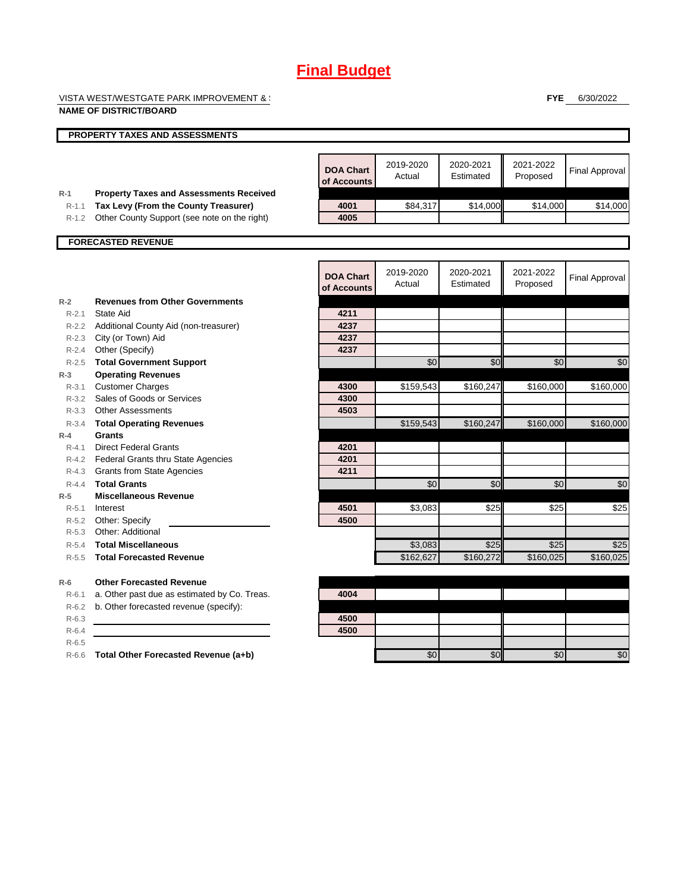VISTA WEST/WESTGATE PARK IMPROVEMENT & SERVICE DISTRICT DISTRICT DISTRICT ON  $\mathbb{R}^n$ 

**FYE** 6/30/2022

|                    | <b>NAME OF DISTRICT/BOARD</b>                  |                                 |                     |                        |                       |                       |
|--------------------|------------------------------------------------|---------------------------------|---------------------|------------------------|-----------------------|-----------------------|
|                    | <b>PROPERTY TAXES AND ASSESSMENTS</b>          |                                 |                     |                        |                       |                       |
|                    |                                                |                                 |                     |                        |                       |                       |
|                    |                                                | <b>DOA Chart</b><br>of Accounts | 2019-2020<br>Actual | 2020-2021<br>Estimated | 2021-2022<br>Proposed | <b>Final Approval</b> |
| $R-1$              | <b>Property Taxes and Assessments Received</b> |                                 |                     |                        |                       |                       |
| $R-1.1$            | Tax Levy (From the County Treasurer)           | 4001                            | \$84,317            | \$14,000               | \$14,000              | \$14,000              |
| $R-1.2$            | Other County Support (see note on the right)   | 4005                            |                     |                        |                       |                       |
|                    | <b>FORECASTED REVENUE</b>                      |                                 |                     |                        |                       |                       |
|                    |                                                |                                 |                     |                        |                       |                       |
|                    |                                                | <b>DOA Chart</b><br>of Accounts | 2019-2020<br>Actual | 2020-2021<br>Estimated | 2021-2022<br>Proposed | <b>Final Approval</b> |
| $R-2$              | <b>Revenues from Other Governments</b>         |                                 |                     |                        |                       |                       |
| $R - 2.1$          | State Aid                                      | 4211                            |                     |                        |                       |                       |
|                    | R-2.2 Additional County Aid (non-treasurer)    | 4237                            |                     |                        |                       |                       |
|                    | R-2.3 City (or Town) Aid                       | 4237                            |                     |                        |                       |                       |
| $R - 2.4$          | Other (Specify)                                | 4237                            |                     |                        |                       |                       |
| $R - 2.5$          | <b>Total Government Support</b>                |                                 | \$0                 | \$0                    | \$0                   | \$0                   |
| $R-3$              | <b>Operating Revenues</b>                      |                                 |                     |                        |                       |                       |
| $R - 3.1$          | <b>Customer Charges</b>                        | 4300                            | \$159,543           | \$160,247              | \$160,000             | \$160,000             |
| $R - 3.2$          | Sales of Goods or Services                     | 4300                            |                     |                        |                       |                       |
|                    | R-3.3 Other Assessments                        | 4503                            |                     |                        |                       |                       |
| $R - 3.4$<br>$R-4$ | <b>Total Operating Revenues</b><br>Grants      |                                 | \$159,543           | \$160,247              | \$160,000             | \$160,000             |
| $R - 4.1$          | <b>Direct Federal Grants</b>                   | 4201                            |                     |                        |                       |                       |
|                    | R-4.2 Federal Grants thru State Agencies       | 4201                            |                     |                        |                       |                       |
|                    | R-4.3 Grants from State Agencies               | 4211                            |                     |                        |                       |                       |
| $R - 4.4$          | <b>Total Grants</b>                            |                                 | \$0                 | \$0                    | \$0                   | \$0                   |
| $R-5$              | <b>Miscellaneous Revenue</b>                   |                                 |                     |                        |                       |                       |
| $R - 5.1$          | Interest                                       | 4501                            | \$3,083             | \$25                   | \$25                  | \$25                  |
| $R-5.2$            | Other: Specify                                 | 4500                            |                     |                        |                       |                       |
| $R - 5.3$          | Other: Additional                              |                                 |                     |                        |                       |                       |
| $R - 5.4$          | <b>Total Miscellaneous</b>                     |                                 | \$3,083             | \$25                   | \$25                  | \$25                  |
| $R - 5.5$          | <b>Total Forecasted Revenue</b>                |                                 | \$162,627           | \$160.272              | \$160.025             | \$160.025             |
| $R-6$              | <b>Other Forecasted Revenue</b>                |                                 |                     |                        |                       |                       |
| $R - 6.1$          | a. Other past due as estimated by Co. Treas.   | 4004                            |                     |                        |                       |                       |
| $R-6.2$            | b. Other forecasted revenue (specify):         |                                 |                     |                        |                       |                       |
| $R-6.3$            |                                                | 4500                            |                     |                        |                       |                       |
| $R-6.4$            |                                                | 4500                            |                     |                        |                       |                       |
| $R-6.5$            |                                                |                                 |                     |                        |                       |                       |
| $R-6.6$            | Total Other Forecasted Revenue (a+b)           |                                 | \$0                 | \$0                    | \$0                   | $\sqrt{6}$            |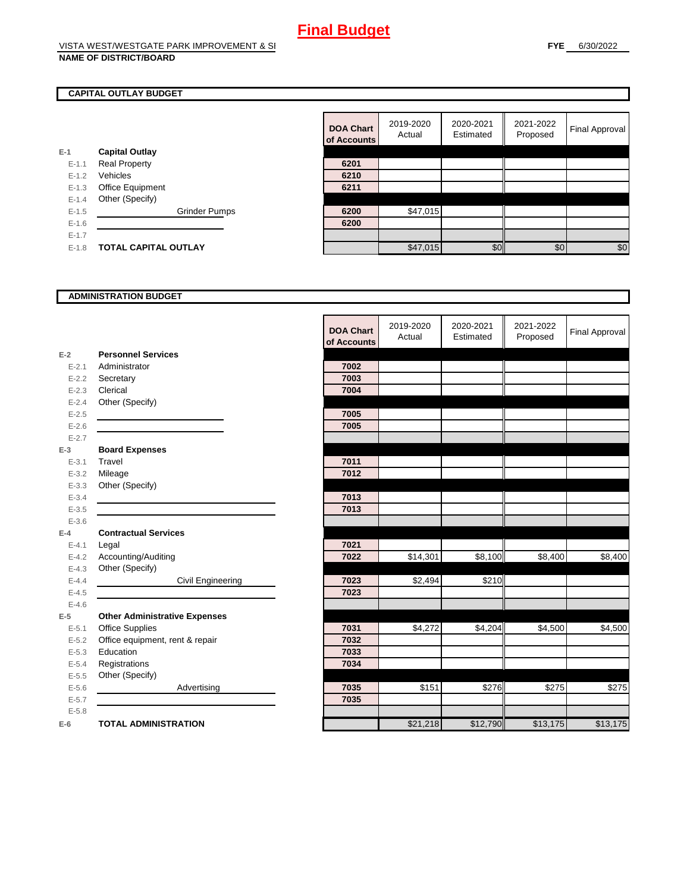### **CAPITAL OUTLAY BUDGET**

|           |                             | <b>ULACCOUNTS</b> |          |
|-----------|-----------------------------|-------------------|----------|
| $E-1$     | <b>Capital Outlay</b>       |                   |          |
| $E - 1.1$ | <b>Real Property</b>        | 6201              |          |
| $E - 1.2$ | Vehicles                    | 6210              |          |
| $E - 1.3$ | <b>Office Equipment</b>     | 6211              |          |
| $E - 1.4$ | Other (Specify)             |                   |          |
| $E-1.5$   | <b>Grinder Pumps</b>        | 6200              | \$47,015 |
| $E - 1.6$ |                             | 6200              |          |
| $E - 1.7$ |                             |                   |          |
| $E-1.8$   | <b>TOTAL CAPITAL OUTLAY</b> |                   | \$47.015 |

|           |                             |                      | <b>DOA Chart</b><br>of Accounts | 2019-2020<br>Actual | 2020-2021<br>Estimated | 2021-2022<br>Proposed | Final Approval |
|-----------|-----------------------------|----------------------|---------------------------------|---------------------|------------------------|-----------------------|----------------|
|           | <b>Capital Outlay</b>       |                      |                                 |                     |                        |                       |                |
| $E-1.1$   | <b>Real Property</b>        |                      | 6201                            |                     |                        |                       |                |
| $E-1.2$   | Vehicles                    |                      | 6210                            |                     |                        |                       |                |
| $E - 1.3$ | Office Equipment            |                      | 6211                            |                     |                        |                       |                |
| $E-1.4$   | Other (Specify)             |                      |                                 |                     |                        |                       |                |
| $E-1.5$   |                             | <b>Grinder Pumps</b> | 6200                            | \$47,015            |                        |                       |                |
| $E-1.6$   |                             |                      | 6200                            |                     |                        |                       |                |
| $E - 1.7$ |                             |                      |                                 |                     |                        |                       |                |
| $E-1.8$   | <b>TOTAL CAPITAL OUTLAY</b> |                      |                                 | \$47,015            | \$0                    | \$0                   | $\$0$          |

#### **ADMINISTRATION BUDGET**

|           |                                      | <b>DOA Chart</b><br>of Accounts | 2019-2020<br>Actual | 2020-2021<br>Estimated | 2021-2022<br>Proposed | <b>Final Approval</b> |
|-----------|--------------------------------------|---------------------------------|---------------------|------------------------|-----------------------|-----------------------|
| $E-2$     | <b>Personnel Services</b>            |                                 |                     |                        |                       |                       |
| $E - 2.1$ | Administrator                        | 7002                            |                     |                        |                       |                       |
| $E - 2.2$ | Secretary                            | 7003                            |                     |                        |                       |                       |
| $E-2.3$   | Clerical                             | 7004                            |                     |                        |                       |                       |
| $E - 2.4$ | Other (Specify)                      |                                 |                     |                        |                       |                       |
| $E-2.5$   |                                      | 7005                            |                     |                        |                       |                       |
| $E - 2.6$ |                                      | 7005                            |                     |                        |                       |                       |
| $E - 2.7$ |                                      |                                 |                     |                        |                       |                       |
| $E-3$     | <b>Board Expenses</b>                |                                 |                     |                        |                       |                       |
| $E - 3.1$ | Travel                               | 7011                            |                     |                        |                       |                       |
| $E - 3.2$ | Mileage                              | 7012                            |                     |                        |                       |                       |
| $E - 3.3$ | Other (Specify)                      |                                 |                     |                        |                       |                       |
| $E - 3.4$ |                                      | 7013                            |                     |                        |                       |                       |
| $E-3.5$   |                                      | 7013                            |                     |                        |                       |                       |
| $E-3.6$   |                                      |                                 |                     |                        |                       |                       |
| $E-4$     | <b>Contractual Services</b>          |                                 |                     |                        |                       |                       |
| $E - 4.1$ | Legal                                | 7021                            |                     |                        |                       |                       |
| $E-4.2$   | Accounting/Auditing                  | 7022                            | \$14,301            | \$8,100                | \$8,400               | \$8,400               |
| $E - 4.3$ | Other (Specify)                      |                                 |                     |                        |                       |                       |
| $E-4.4$   | Civil Engineering                    | 7023                            | \$2,494             | \$210                  |                       |                       |
| $E-4.5$   |                                      | 7023                            |                     |                        |                       |                       |
| $E-4.6$   |                                      |                                 |                     |                        |                       |                       |
| $E-5$     | <b>Other Administrative Expenses</b> |                                 |                     |                        |                       |                       |
| $E - 5.1$ | <b>Office Supplies</b>               | 7031                            | \$4,272             | \$4,204                | \$4,500               | \$4,500               |
| $E - 5.2$ | Office equipment, rent & repair      | 7032                            |                     |                        |                       |                       |
| $E - 5.3$ | Education                            | 7033                            |                     |                        |                       |                       |
| $E - 5.4$ | Registrations                        | 7034                            |                     |                        |                       |                       |
| $E-5.5$   | Other (Specify)                      |                                 |                     |                        |                       |                       |
| $E - 5.6$ | Advertising                          | 7035                            | \$151               | \$276                  | \$275                 | \$275                 |
| $E - 5.7$ |                                      | 7035                            |                     |                        |                       |                       |
| $E - 5.8$ |                                      |                                 |                     |                        |                       |                       |
| $E-6$     | <b>TOTAL ADMINISTRATION</b>          |                                 | \$21,218            | \$12,790               | \$13,175              | \$13,175              |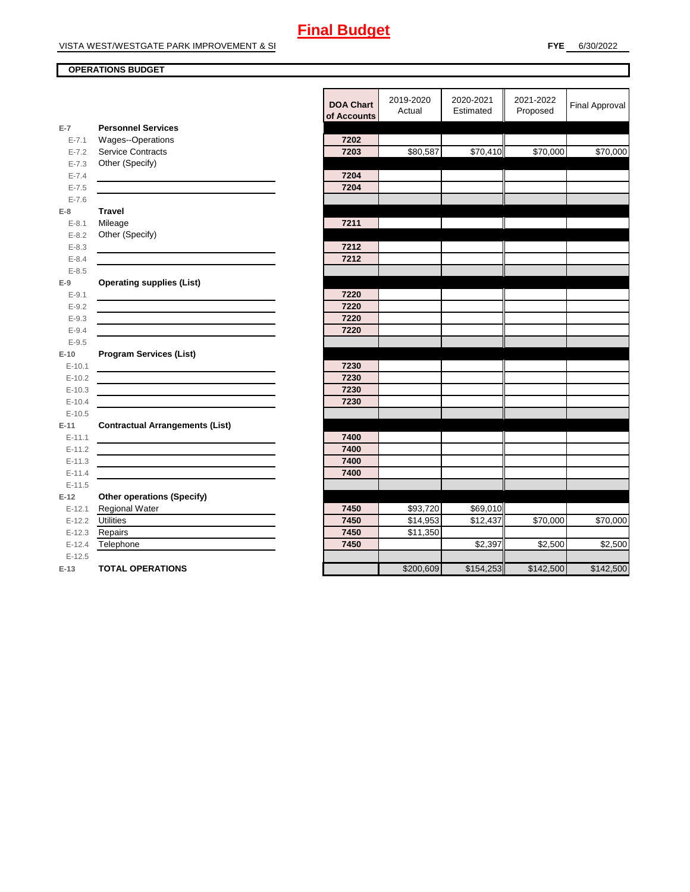## **OPERATIONS BUDGET**

| <b>Personnel Services</b><br>$E-7$<br><b>Wages--Operations</b><br>7202<br>$E - 7.1$<br>Service Contracts<br>7203<br>\$80,587<br>$E - 7.2$<br>Other (Specify)<br>$E - 7.3$<br>7204<br>$E - 7.4$<br>$E - 7.5$<br>7204<br>$E - 7.6$<br><b>Travel</b><br>$E-8$<br>Mileage<br>7211<br>$E - 8.1$<br>Other (Specify)<br>$E - 8.2$<br>7212<br>$E - 8.3$<br>7212<br>$E - 8.4$<br>$E - 8.5$<br><b>Operating supplies (List)</b><br>$E-9$<br>7220<br>$E - 9.1$<br>7220<br>$E - 9.2$<br>7220<br>$E-9.3$<br>$E - 9.4$<br>7220<br>$E-9.5$<br><b>Program Services (List)</b><br>$E-10$<br>7230<br>$E-10.1$<br><u> 1980 - Jan Stein Stein Stein Stein Stein Stein Stein Stein Stein Stein Stein Stein Stein Stein Stein Stein S</u><br>7230<br>$E-10.2$<br>7230<br>$E-10.3$<br>7230<br>$E-10.4$<br>$E-10.5$<br><b>Contractual Arrangements (List)</b><br>$E-11$<br>7400<br>$E-11.1$<br>7400<br>$E-11.2$<br>$E-11.3$<br>7400<br>7400<br>$E-11.4$<br>$E-11.5$<br><b>Other operations (Specify)</b><br>$E-12$<br>\$93,720<br>Regional Water<br>7450<br>\$69,010<br>$E-12.1$<br><b>Utilities</b><br>7450<br>\$14,953<br>\$12,437<br>$E-12.2$<br>7450<br>\$11,350<br>$E-12.3$<br>Repairs<br>Telephone<br>$E-12.4$<br>7450<br>\$2,397<br>$E-12.5$<br><b>TOTAL OPERATIONS</b><br>\$200,609<br>$E-13$ |  | of Accounts | Actual | Estimated |
|-------------------------------------------------------------------------------------------------------------------------------------------------------------------------------------------------------------------------------------------------------------------------------------------------------------------------------------------------------------------------------------------------------------------------------------------------------------------------------------------------------------------------------------------------------------------------------------------------------------------------------------------------------------------------------------------------------------------------------------------------------------------------------------------------------------------------------------------------------------------------------------------------------------------------------------------------------------------------------------------------------------------------------------------------------------------------------------------------------------------------------------------------------------------------------------------------------------------------------------------------------------------------------|--|-------------|--------|-----------|
|                                                                                                                                                                                                                                                                                                                                                                                                                                                                                                                                                                                                                                                                                                                                                                                                                                                                                                                                                                                                                                                                                                                                                                                                                                                                               |  |             |        |           |
|                                                                                                                                                                                                                                                                                                                                                                                                                                                                                                                                                                                                                                                                                                                                                                                                                                                                                                                                                                                                                                                                                                                                                                                                                                                                               |  |             |        |           |
|                                                                                                                                                                                                                                                                                                                                                                                                                                                                                                                                                                                                                                                                                                                                                                                                                                                                                                                                                                                                                                                                                                                                                                                                                                                                               |  |             |        | \$70,410  |
|                                                                                                                                                                                                                                                                                                                                                                                                                                                                                                                                                                                                                                                                                                                                                                                                                                                                                                                                                                                                                                                                                                                                                                                                                                                                               |  |             |        |           |
|                                                                                                                                                                                                                                                                                                                                                                                                                                                                                                                                                                                                                                                                                                                                                                                                                                                                                                                                                                                                                                                                                                                                                                                                                                                                               |  |             |        |           |
|                                                                                                                                                                                                                                                                                                                                                                                                                                                                                                                                                                                                                                                                                                                                                                                                                                                                                                                                                                                                                                                                                                                                                                                                                                                                               |  |             |        |           |
|                                                                                                                                                                                                                                                                                                                                                                                                                                                                                                                                                                                                                                                                                                                                                                                                                                                                                                                                                                                                                                                                                                                                                                                                                                                                               |  |             |        |           |
|                                                                                                                                                                                                                                                                                                                                                                                                                                                                                                                                                                                                                                                                                                                                                                                                                                                                                                                                                                                                                                                                                                                                                                                                                                                                               |  |             |        |           |
|                                                                                                                                                                                                                                                                                                                                                                                                                                                                                                                                                                                                                                                                                                                                                                                                                                                                                                                                                                                                                                                                                                                                                                                                                                                                               |  |             |        |           |
|                                                                                                                                                                                                                                                                                                                                                                                                                                                                                                                                                                                                                                                                                                                                                                                                                                                                                                                                                                                                                                                                                                                                                                                                                                                                               |  |             |        |           |
|                                                                                                                                                                                                                                                                                                                                                                                                                                                                                                                                                                                                                                                                                                                                                                                                                                                                                                                                                                                                                                                                                                                                                                                                                                                                               |  |             |        |           |
|                                                                                                                                                                                                                                                                                                                                                                                                                                                                                                                                                                                                                                                                                                                                                                                                                                                                                                                                                                                                                                                                                                                                                                                                                                                                               |  |             |        |           |
|                                                                                                                                                                                                                                                                                                                                                                                                                                                                                                                                                                                                                                                                                                                                                                                                                                                                                                                                                                                                                                                                                                                                                                                                                                                                               |  |             |        |           |
|                                                                                                                                                                                                                                                                                                                                                                                                                                                                                                                                                                                                                                                                                                                                                                                                                                                                                                                                                                                                                                                                                                                                                                                                                                                                               |  |             |        |           |
|                                                                                                                                                                                                                                                                                                                                                                                                                                                                                                                                                                                                                                                                                                                                                                                                                                                                                                                                                                                                                                                                                                                                                                                                                                                                               |  |             |        |           |
|                                                                                                                                                                                                                                                                                                                                                                                                                                                                                                                                                                                                                                                                                                                                                                                                                                                                                                                                                                                                                                                                                                                                                                                                                                                                               |  |             |        |           |
|                                                                                                                                                                                                                                                                                                                                                                                                                                                                                                                                                                                                                                                                                                                                                                                                                                                                                                                                                                                                                                                                                                                                                                                                                                                                               |  |             |        |           |
|                                                                                                                                                                                                                                                                                                                                                                                                                                                                                                                                                                                                                                                                                                                                                                                                                                                                                                                                                                                                                                                                                                                                                                                                                                                                               |  |             |        |           |
|                                                                                                                                                                                                                                                                                                                                                                                                                                                                                                                                                                                                                                                                                                                                                                                                                                                                                                                                                                                                                                                                                                                                                                                                                                                                               |  |             |        |           |
|                                                                                                                                                                                                                                                                                                                                                                                                                                                                                                                                                                                                                                                                                                                                                                                                                                                                                                                                                                                                                                                                                                                                                                                                                                                                               |  |             |        |           |
|                                                                                                                                                                                                                                                                                                                                                                                                                                                                                                                                                                                                                                                                                                                                                                                                                                                                                                                                                                                                                                                                                                                                                                                                                                                                               |  |             |        |           |
|                                                                                                                                                                                                                                                                                                                                                                                                                                                                                                                                                                                                                                                                                                                                                                                                                                                                                                                                                                                                                                                                                                                                                                                                                                                                               |  |             |        |           |
|                                                                                                                                                                                                                                                                                                                                                                                                                                                                                                                                                                                                                                                                                                                                                                                                                                                                                                                                                                                                                                                                                                                                                                                                                                                                               |  |             |        |           |
|                                                                                                                                                                                                                                                                                                                                                                                                                                                                                                                                                                                                                                                                                                                                                                                                                                                                                                                                                                                                                                                                                                                                                                                                                                                                               |  |             |        |           |
|                                                                                                                                                                                                                                                                                                                                                                                                                                                                                                                                                                                                                                                                                                                                                                                                                                                                                                                                                                                                                                                                                                                                                                                                                                                                               |  |             |        |           |
|                                                                                                                                                                                                                                                                                                                                                                                                                                                                                                                                                                                                                                                                                                                                                                                                                                                                                                                                                                                                                                                                                                                                                                                                                                                                               |  |             |        |           |
|                                                                                                                                                                                                                                                                                                                                                                                                                                                                                                                                                                                                                                                                                                                                                                                                                                                                                                                                                                                                                                                                                                                                                                                                                                                                               |  |             |        |           |
|                                                                                                                                                                                                                                                                                                                                                                                                                                                                                                                                                                                                                                                                                                                                                                                                                                                                                                                                                                                                                                                                                                                                                                                                                                                                               |  |             |        |           |
|                                                                                                                                                                                                                                                                                                                                                                                                                                                                                                                                                                                                                                                                                                                                                                                                                                                                                                                                                                                                                                                                                                                                                                                                                                                                               |  |             |        |           |
|                                                                                                                                                                                                                                                                                                                                                                                                                                                                                                                                                                                                                                                                                                                                                                                                                                                                                                                                                                                                                                                                                                                                                                                                                                                                               |  |             |        |           |
|                                                                                                                                                                                                                                                                                                                                                                                                                                                                                                                                                                                                                                                                                                                                                                                                                                                                                                                                                                                                                                                                                                                                                                                                                                                                               |  |             |        |           |
|                                                                                                                                                                                                                                                                                                                                                                                                                                                                                                                                                                                                                                                                                                                                                                                                                                                                                                                                                                                                                                                                                                                                                                                                                                                                               |  |             |        |           |
|                                                                                                                                                                                                                                                                                                                                                                                                                                                                                                                                                                                                                                                                                                                                                                                                                                                                                                                                                                                                                                                                                                                                                                                                                                                                               |  |             |        |           |
|                                                                                                                                                                                                                                                                                                                                                                                                                                                                                                                                                                                                                                                                                                                                                                                                                                                                                                                                                                                                                                                                                                                                                                                                                                                                               |  |             |        |           |
|                                                                                                                                                                                                                                                                                                                                                                                                                                                                                                                                                                                                                                                                                                                                                                                                                                                                                                                                                                                                                                                                                                                                                                                                                                                                               |  |             |        |           |
|                                                                                                                                                                                                                                                                                                                                                                                                                                                                                                                                                                                                                                                                                                                                                                                                                                                                                                                                                                                                                                                                                                                                                                                                                                                                               |  |             |        |           |
|                                                                                                                                                                                                                                                                                                                                                                                                                                                                                                                                                                                                                                                                                                                                                                                                                                                                                                                                                                                                                                                                                                                                                                                                                                                                               |  |             |        | \$154,253 |

|           |                                        | <b>DOA Chart</b><br>of Accounts | 2019-2020<br>Actual | 2020-2021<br>Estimated | 2021-2022<br>Proposed | <b>Final Approval</b> |
|-----------|----------------------------------------|---------------------------------|---------------------|------------------------|-----------------------|-----------------------|
| $E-7$     | <b>Personnel Services</b>              |                                 |                     |                        |                       |                       |
| $E - 7.1$ | Wages--Operations                      | 7202                            |                     |                        |                       |                       |
| $E - 7.2$ | Service Contracts                      | 7203                            | \$80,587            | \$70,410               | \$70,000              | \$70,000              |
| $E - 7.3$ | Other (Specify)                        |                                 |                     |                        |                       |                       |
| $E - 7.4$ |                                        | 7204                            |                     |                        |                       |                       |
| $E - 7.5$ |                                        | 7204                            |                     |                        |                       |                       |
| $E - 7.6$ |                                        |                                 |                     |                        |                       |                       |
| E-8       | <b>Travel</b>                          |                                 |                     |                        |                       |                       |
| $E - 8.1$ | Mileage                                | 7211                            |                     |                        |                       |                       |
| $E - 8.2$ | Other (Specify)                        |                                 |                     |                        |                       |                       |
| $E - 8.3$ |                                        | 7212                            |                     |                        |                       |                       |
| $E - 8.4$ |                                        | 7212                            |                     |                        |                       |                       |
| $E - 8.5$ |                                        |                                 |                     |                        |                       |                       |
| E-9       | <b>Operating supplies (List)</b>       |                                 |                     |                        |                       |                       |
| $E - 9.1$ |                                        | 7220                            |                     |                        |                       |                       |
| $E - 9.2$ |                                        | 7220                            |                     |                        |                       |                       |
| $E - 9.3$ |                                        | 7220                            |                     |                        |                       |                       |
| $E - 9.4$ |                                        | 7220                            |                     |                        |                       |                       |
| $E-9.5$   |                                        |                                 |                     |                        |                       |                       |
| $E-10$    | <b>Program Services (List)</b>         |                                 |                     |                        |                       |                       |
| $E-10.1$  |                                        | 7230                            |                     |                        |                       |                       |
| $E-10.2$  |                                        | 7230                            |                     |                        |                       |                       |
| $E-10.3$  |                                        | 7230                            |                     |                        |                       |                       |
| $E-10.4$  |                                        | 7230                            |                     |                        |                       |                       |
| $E-10.5$  |                                        |                                 |                     |                        |                       |                       |
| E-11      | <b>Contractual Arrangements (List)</b> |                                 |                     |                        |                       |                       |
| $E-11.1$  |                                        | 7400                            |                     |                        |                       |                       |
| $E-11.2$  |                                        | 7400                            |                     |                        |                       |                       |
| $E-11.3$  |                                        | 7400                            |                     |                        |                       |                       |
| $E-11.4$  |                                        | 7400                            |                     |                        |                       |                       |
| $E-11.5$  |                                        |                                 |                     |                        |                       |                       |
| $E-12$    | <b>Other operations (Specify)</b>      |                                 |                     |                        |                       |                       |
| $E-12.1$  | Regional Water                         | 7450                            | \$93,720            | \$69,010               |                       |                       |
| $E-12.2$  | <b>Utilities</b>                       | 7450                            | \$14,953            | \$12,437               | \$70,000              | \$70,000              |
| $E-12.3$  | Repairs                                | 7450                            | \$11,350            |                        |                       |                       |
| $E-12.4$  | Telephone                              | 7450                            |                     | \$2,397                | \$2,500               | \$2,500               |
| $E-12.5$  |                                        |                                 |                     |                        |                       |                       |
| $E-13$    | <b>TOTAL OPERATIONS</b>                |                                 | \$200,609           | \$154,253              | \$142,500             | \$142,500             |
|           |                                        |                                 |                     |                        |                       |                       |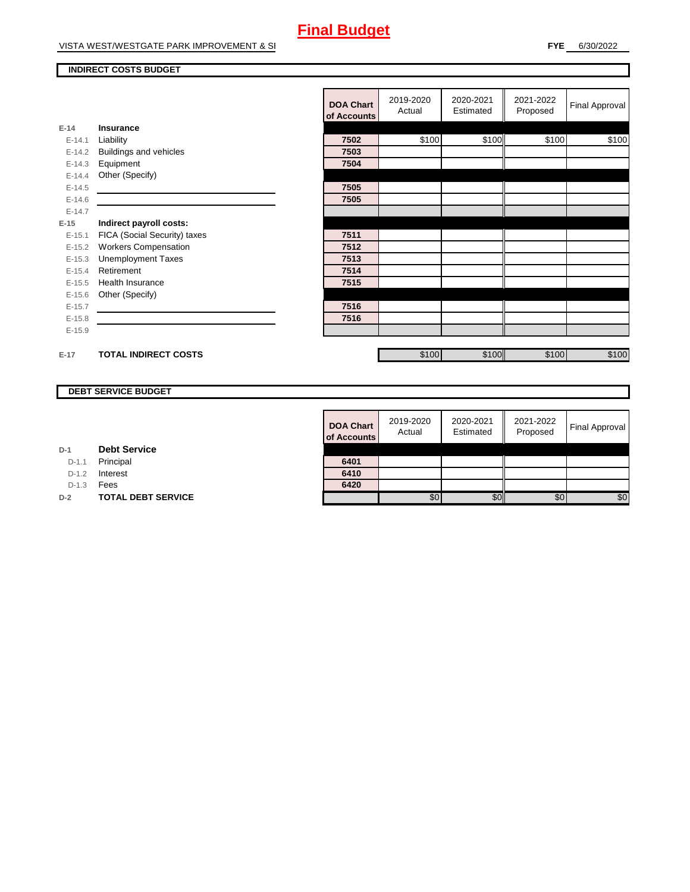#### **INDIRECT COSTS BUDGET**

|          |                               | <b>DOA Chart</b><br>of Accounts | 2019-2020<br>Actual | 2020-2021<br>Estimated | 2021-2022<br>Proposed | <b>Final Approval</b> |
|----------|-------------------------------|---------------------------------|---------------------|------------------------|-----------------------|-----------------------|
| $E-14$   | <b>Insurance</b>              |                                 |                     |                        |                       |                       |
| $E-14.1$ | Liability                     | 7502                            | \$100               | \$100                  | \$100                 | \$100                 |
| $E-14.2$ | <b>Buildings and vehicles</b> | 7503                            |                     |                        |                       |                       |
| $E-14.3$ | Equipment                     | 7504                            |                     |                        |                       |                       |
| $E-14.4$ | Other (Specify)               |                                 |                     |                        |                       |                       |
| $E-14.5$ |                               | 7505                            |                     |                        |                       |                       |
| $E-14.6$ |                               | 7505                            |                     |                        |                       |                       |
| $E-14.7$ |                               |                                 |                     |                        |                       |                       |
| $E-15$   | Indirect payroll costs:       |                                 |                     |                        |                       |                       |
| $E-15.1$ | FICA (Social Security) taxes  | 7511                            |                     |                        |                       |                       |
| $E-15.2$ | <b>Workers Compensation</b>   | 7512                            |                     |                        |                       |                       |
| $E-15.3$ | <b>Unemployment Taxes</b>     | 7513                            |                     |                        |                       |                       |
| $E-15.4$ | Retirement                    | 7514                            |                     |                        |                       |                       |
| $E-15.5$ | <b>Health Insurance</b>       | 7515                            |                     |                        |                       |                       |
| $E-15.6$ | Other (Specify)               |                                 |                     |                        |                       |                       |
| $E-15.7$ |                               | 7516                            |                     |                        |                       |                       |
| $E-15.8$ |                               | 7516                            |                     |                        |                       |                       |
| $E-15.9$ |                               |                                 |                     |                        |                       |                       |
|          |                               |                                 |                     |                        |                       |                       |
| $E-17$   | <b>TOTAL INDIRECT COSTS</b>   |                                 | \$100               | \$100                  | \$100                 | \$100                 |

## **DEBT SERVICE BUDGET**

**D-2 TOTAL DEBT SERVICE** 

**D-1 Debt Service**D-1.1 Principal D-1.2 **Interest** D-1.3 **Fees** 

| <b>DOA Chart</b><br>of Accounts | 2019-2020<br>Actual | 2020-2021<br>Estimated | 2021-2022<br>Proposed | <b>Final Approval</b> |
|---------------------------------|---------------------|------------------------|-----------------------|-----------------------|
| 6401                            |                     |                        |                       |                       |
| 6410                            |                     |                        |                       |                       |
| 6420                            |                     |                        |                       |                       |
|                                 | SO.                 |                        | £ſ.                   | \$O                   |